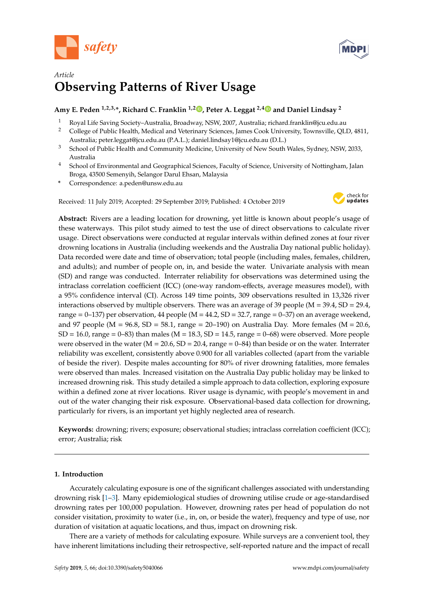



# *Article* **Observing Patterns of River Usage**

# **Amy E. Peden 1,2,3,\*, Richard C. Franklin 1,[2](https://orcid.org/0000-0003-1864-4552) , Peter A. Leggat 2,[4](https://orcid.org/0000-0002-8749-014X) and Daniel Lindsay <sup>2</sup>**

- <sup>1</sup> Royal Life Saving Society–Australia, Broadway, NSW, 2007, Australia; richard.franklin@jcu.edu.au
- <sup>2</sup> College of Public Health, Medical and Veterinary Sciences, James Cook University, Townsville, QLD, 4811, Australia; peter.leggat@jcu.edu.au (P.A.L.); daniel.lindsay1@jcu.edu.au (D.L.)
- <sup>3</sup> School of Public Health and Community Medicine, University of New South Wales, Sydney, NSW, 2033, Australia
- <sup>4</sup> School of Environmental and Geographical Sciences, Faculty of Science, University of Nottingham, Jalan Broga, 43500 Semenyih, Selangor Darul Ehsan, Malaysia
- **\*** Correspondence: a.peden@unsw.edu.au

Received: 11 July 2019; Accepted: 29 September 2019; Published: 4 October 2019



**Abstract:** Rivers are a leading location for drowning, yet little is known about people's usage of these waterways. This pilot study aimed to test the use of direct observations to calculate river usage. Direct observations were conducted at regular intervals within defined zones at four river drowning locations in Australia (including weekends and the Australia Day national public holiday). Data recorded were date and time of observation; total people (including males, females, children, and adults); and number of people on, in, and beside the water. Univariate analysis with mean (SD) and range was conducted. Interrater reliability for observations was determined using the intraclass correlation coefficient (ICC) (one-way random-effects, average measures model), with a 95% confidence interval (CI). Across 149 time points, 309 observations resulted in 13,326 river interactions observed by multiple observers. There was an average of 39 people ( $M = 39.4$ ,  $SD = 29.4$ , range = 0-137) per observation, 44 people ( $M = 44.2$ , SD = 32.7, range = 0-37) on an average weekend, and 97 people (M = 96.8, SD = 58.1, range = 20–190) on Australia Day. More females (M = 20.6, SD = 16.0, range =  $0-83$ ) than males (M = 18.3, SD = 14.5, range =  $0-68$ ) were observed. More people were observed in the water ( $M = 20.6$ ,  $SD = 20.4$ , range = 0–84) than beside or on the water. Interrater reliability was excellent, consistently above 0.900 for all variables collected (apart from the variable of beside the river). Despite males accounting for 80% of river drowning fatalities, more females were observed than males. Increased visitation on the Australia Day public holiday may be linked to increased drowning risk. This study detailed a simple approach to data collection, exploring exposure within a defined zone at river locations. River usage is dynamic, with people's movement in and out of the water changing their risk exposure. Observational-based data collection for drowning, particularly for rivers, is an important yet highly neglected area of research.

**Keywords:** drowning; rivers; exposure; observational studies; intraclass correlation coefficient (ICC); error; Australia; risk

# **1. Introduction**

Accurately calculating exposure is one of the significant challenges associated with understanding drowning risk [\[1–](#page-12-0)[3\]](#page-12-1). Many epidemiological studies of drowning utilise crude or age-standardised drowning rates per 100,000 population. However, drowning rates per head of population do not consider visitation, proximity to water (i.e., in, on, or beside the water), frequency and type of use, nor duration of visitation at aquatic locations, and thus, impact on drowning risk.

There are a variety of methods for calculating exposure. While surveys are a convenient tool, they have inherent limitations including their retrospective, self-reported nature and the impact of recall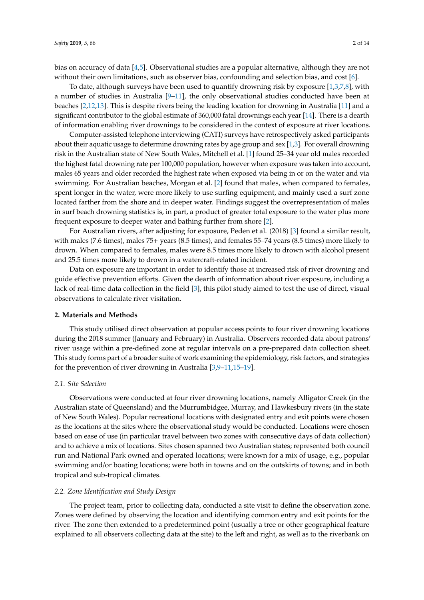bias on accuracy of data [\[4,](#page-12-2)[5\]](#page-12-3). Observational studies are a popular alternative, although they are not without their own limitations, such as observer bias, confounding and selection bias, and cost [\[6\]](#page-12-4).

To date, although surveys have been used to quantify drowning risk by exposure [\[1,](#page-12-0)[3,](#page-12-1)[7,](#page-12-5)[8\]](#page-12-6), with a number of studies in Australia [\[9–](#page-12-7)[11\]](#page-12-8), the only observational studies conducted have been at beaches [\[2,](#page-12-9)[12,](#page-12-10)[13\]](#page-12-11). This is despite rivers being the leading location for drowning in Australia [\[11\]](#page-12-8) and a significant contributor to the global estimate of 360,000 fatal drownings each year [\[14\]](#page-12-12). There is a dearth of information enabling river drownings to be considered in the context of exposure at river locations.

Computer-assisted telephone interviewing (CATI) surveys have retrospectively asked participants about their aquatic usage to determine drowning rates by age group and sex [\[1](#page-12-0)[,3\]](#page-12-1). For overall drowning risk in the Australian state of New South Wales, Mitchell et al. [\[1\]](#page-12-0) found 25–34 year old males recorded the highest fatal drowning rate per 100,000 population, however when exposure was taken into account, males 65 years and older recorded the highest rate when exposed via being in or on the water and via swimming. For Australian beaches, Morgan et al. [\[2\]](#page-12-9) found that males, when compared to females, spent longer in the water, were more likely to use surfing equipment, and mainly used a surf zone located farther from the shore and in deeper water. Findings suggest the overrepresentation of males in surf beach drowning statistics is, in part, a product of greater total exposure to the water plus more frequent exposure to deeper water and bathing further from shore [\[2\]](#page-12-9).

For Australian rivers, after adjusting for exposure, Peden et al. (2018) [\[3\]](#page-12-1) found a similar result, with males (7.6 times), males 75+ years (8.5 times), and females 55–74 years (8.5 times) more likely to drown. When compared to females, males were 8.5 times more likely to drown with alcohol present and 25.5 times more likely to drown in a watercraft-related incident.

Data on exposure are important in order to identify those at increased risk of river drowning and guide effective prevention efforts. Given the dearth of information about river exposure, including a lack of real-time data collection in the field [\[3\]](#page-12-1), this pilot study aimed to test the use of direct, visual observations to calculate river visitation.

# **2. Materials and Methods**

This study utilised direct observation at popular access points to four river drowning locations during the 2018 summer (January and February) in Australia. Observers recorded data about patrons' river usage within a pre-defined zone at regular intervals on a pre-prepared data collection sheet. This study forms part of a broader suite of work examining the epidemiology, risk factors, and strategies for the prevention of river drowning in Australia [\[3,](#page-12-1)[9](#page-12-7)[–11](#page-12-8)[,15](#page-12-13)[–19\]](#page-12-14).

# *2.1. Site Selection*

Observations were conducted at four river drowning locations, namely Alligator Creek (in the Australian state of Queensland) and the Murrumbidgee, Murray, and Hawkesbury rivers (in the state of New South Wales). Popular recreational locations with designated entry and exit points were chosen as the locations at the sites where the observational study would be conducted. Locations were chosen based on ease of use (in particular travel between two zones with consecutive days of data collection) and to achieve a mix of locations. Sites chosen spanned two Australian states; represented both council run and National Park owned and operated locations; were known for a mix of usage, e.g., popular swimming and/or boating locations; were both in towns and on the outskirts of towns; and in both tropical and sub-tropical climates.

### *2.2. Zone Identification and Study Design*

The project team, prior to collecting data, conducted a site visit to define the observation zone. Zones were defined by observing the location and identifying common entry and exit points for the river. The zone then extended to a predetermined point (usually a tree or other geographical feature explained to all observers collecting data at the site) to the left and right, as well as to the riverbank on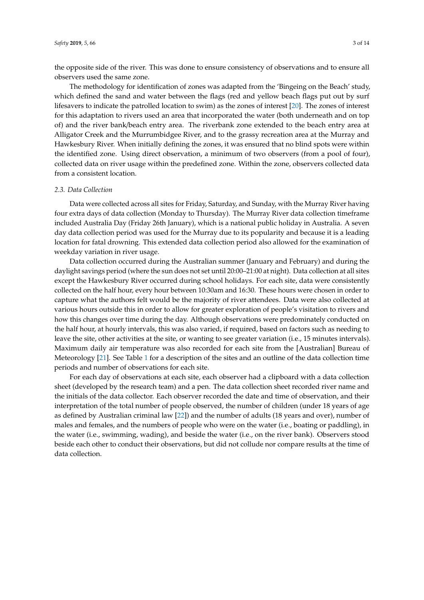the opposite side of the river. This was done to ensure consistency of observations and to ensure all observers used the same zone.

The methodology for identification of zones was adapted from the 'Bingeing on the Beach' study, which defined the sand and water between the flags (red and yellow beach flags put out by surf lifesavers to indicate the patrolled location to swim) as the zones of interest [\[20\]](#page-12-15). The zones of interest for this adaptation to rivers used an area that incorporated the water (both underneath and on top of) and the river bank/beach entry area. The riverbank zone extended to the beach entry area at Alligator Creek and the Murrumbidgee River, and to the grassy recreation area at the Murray and Hawkesbury River. When initially defining the zones, it was ensured that no blind spots were within the identified zone. Using direct observation, a minimum of two observers (from a pool of four), collected data on river usage within the predefined zone. Within the zone, observers collected data from a consistent location.

### *2.3. Data Collection*

Data were collected across all sites for Friday, Saturday, and Sunday, with the Murray River having four extra days of data collection (Monday to Thursday). The Murray River data collection timeframe included Australia Day (Friday 26th January), which is a national public holiday in Australia. A seven day data collection period was used for the Murray due to its popularity and because it is a leading location for fatal drowning. This extended data collection period also allowed for the examination of weekday variation in river usage.

Data collection occurred during the Australian summer (January and February) and during the daylight savings period (where the sun does not set until 20:00–21:00 at night). Data collection at all sites except the Hawkesbury River occurred during school holidays. For each site, data were consistently collected on the half hour, every hour between 10:30am and 16:30. These hours were chosen in order to capture what the authors felt would be the majority of river attendees. Data were also collected at various hours outside this in order to allow for greater exploration of people's visitation to rivers and how this changes over time during the day. Although observations were predominately conducted on the half hour, at hourly intervals, this was also varied, if required, based on factors such as needing to leave the site, other activities at the site, or wanting to see greater variation (i.e., 15 minutes intervals). Maximum daily air temperature was also recorded for each site from the [Australian] Bureau of Meteorology [\[21\]](#page-13-0). See Table [1](#page-3-0) for a description of the sites and an outline of the data collection time periods and number of observations for each site.

For each day of observations at each site, each observer had a clipboard with a data collection sheet (developed by the research team) and a pen. The data collection sheet recorded river name and the initials of the data collector. Each observer recorded the date and time of observation, and their interpretation of the total number of people observed, the number of children (under 18 years of age as defined by Australian criminal law [\[22\]](#page-13-1)) and the number of adults (18 years and over), number of males and females, and the numbers of people who were on the water (i.e., boating or paddling), in the water (i.e., swimming, wading), and beside the water (i.e., on the river bank). Observers stood beside each other to conduct their observations, but did not collude nor compare results at the time of data collection.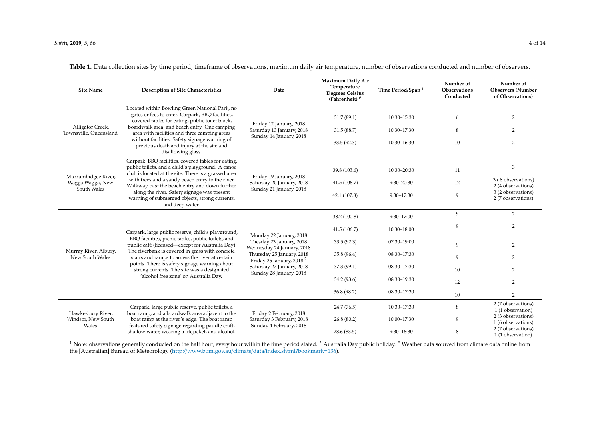|      | f observations conducted and number of observers. |           |  |
|------|---------------------------------------------------|-----------|--|
| $-1$ | Number of                                         | Number of |  |

Table 1. Data collection sites by time period, timeframe of observations, maximum daily air temperature, number o

**Maximum Daily Air**

| <b>Site Name</b>                           | <b>Description of Site Characteristics</b>                                                                                                                                                                                                                                                                                                                                                                 | Date                                                                                                                                                                                                           | Temperature<br><b>Degrees Celsius</b><br>(Fahrenheit) <sup>#</sup> | Time Period/Span <sup>1</sup> | Number of<br>Observations<br>Conducted | Number of<br><b>Observers</b> (Number<br>of Observations) |
|--------------------------------------------|------------------------------------------------------------------------------------------------------------------------------------------------------------------------------------------------------------------------------------------------------------------------------------------------------------------------------------------------------------------------------------------------------------|----------------------------------------------------------------------------------------------------------------------------------------------------------------------------------------------------------------|--------------------------------------------------------------------|-------------------------------|----------------------------------------|-----------------------------------------------------------|
|                                            | Located within Bowling Green National Park, no<br>gates or fees to enter. Carpark, BBQ facilities,<br>covered tables for eating, public toilet block,                                                                                                                                                                                                                                                      | Friday 12 January, 2018                                                                                                                                                                                        | 31.7(89.1)                                                         | 10:30-15:30                   | 6                                      | $\overline{2}$                                            |
| Alligator Creek,<br>Townsville, Queensland | boardwalk area, and beach entry. One camping<br>area with facilities and three camping areas                                                                                                                                                                                                                                                                                                               | Saturday 13 January, 2018<br>Sunday 14 January, 2018                                                                                                                                                           | 31.5(88.7)                                                         | 10:30-17:30                   | 8                                      | 2                                                         |
|                                            | without facilities. Safety signage warning of<br>previous death and injury at the site and<br>disallowing glass.                                                                                                                                                                                                                                                                                           |                                                                                                                                                                                                                | 33.5(92.3)                                                         | 10:30-16:30                   | 10                                     | 2                                                         |
|                                            | Carpark, BBQ facilities, covered tables for eating,<br>public toilets, and a child's playground. A canoe                                                                                                                                                                                                                                                                                                   |                                                                                                                                                                                                                |                                                                    |                               |                                        | 3                                                         |
| Murrumbidgee River,                        | club is located at the site. There is a grassed area                                                                                                                                                                                                                                                                                                                                                       | Friday 19 January, 2018                                                                                                                                                                                        | 39.8 (103.6)                                                       | 10:30-20:30                   | 11                                     |                                                           |
| Wagga Wagga, New                           | with trees and a sandy beach entry to the river.<br>Walkway past the beach entry and down further                                                                                                                                                                                                                                                                                                          | Saturday 20 January, 2018                                                                                                                                                                                      | 41.5(106.7)                                                        | $9:30 - 20:30$                | 12                                     | 3 (8 observations)<br>2 (4 observations)                  |
| South Wales                                | along the river. Safety signage was present<br>warning of submerged objects, strong currents,<br>and deep water.                                                                                                                                                                                                                                                                                           | Sunday 21 January, 2018                                                                                                                                                                                        | 42.1 (107.8)                                                       | $9:30 - 17:30$                | 9                                      | 3 (2 observations)<br>2 (7 observations)                  |
|                                            |                                                                                                                                                                                                                                                                                                                                                                                                            | Monday 22 January, 2018<br>Tuesday 23 January, 2018<br>Wednesday 24 January, 2018<br>Thursday 25 January, 2018<br>Friday 26 January, 2018 <sup>2</sup><br>Saturday 27 January, 2018<br>Sunday 28 January, 2018 | 38.2 (100.8)                                                       | $9:30 - 17:00$                | 9                                      | $\overline{2}$                                            |
|                                            | Carpark, large public reserve, child's playground,<br>BBQ facilities, picnic tables, public toilets, and<br>public café (licensed—except for Australia Day).<br>The riverbank is covered in grass with concrete<br>stairs and ramps to access the river at certain<br>points. There is safety signage warning about<br>strong currents. The site was a designated<br>'alcohol free zone' on Australia Day. |                                                                                                                                                                                                                | 41.5(106.7)                                                        | 10:30-18:00                   | 9                                      | $\overline{2}$                                            |
|                                            |                                                                                                                                                                                                                                                                                                                                                                                                            |                                                                                                                                                                                                                | 33.5(92.3)                                                         | 07:30-19:00                   | 9                                      | $\overline{2}$                                            |
| Murray River, Albury,<br>New South Wales   |                                                                                                                                                                                                                                                                                                                                                                                                            |                                                                                                                                                                                                                | 35.8 (96.4)                                                        | 08:30-17:30                   | 9                                      | $\overline{2}$                                            |
|                                            |                                                                                                                                                                                                                                                                                                                                                                                                            |                                                                                                                                                                                                                | 37.3 (99.1)                                                        | 08:30-17:30                   | 10                                     | 2                                                         |
|                                            |                                                                                                                                                                                                                                                                                                                                                                                                            |                                                                                                                                                                                                                | 34.2 (93.6)                                                        | 08:30-19:30                   | 12                                     | $\overline{2}$                                            |
|                                            |                                                                                                                                                                                                                                                                                                                                                                                                            |                                                                                                                                                                                                                | 36.8 (98.2)                                                        | 08:30-17:30                   | 10                                     | $\overline{2}$                                            |
| Hawkesbury River,                          | Carpark, large public reserve, public toilets, a<br>boat ramp, and a boardwalk area adjacent to the                                                                                                                                                                                                                                                                                                        | Friday 2 February, 2018<br>Saturday 3 February, 2018<br>Sunday 4 February, 2018                                                                                                                                | 24.7 (76.5)                                                        | 10:30-17:30                   | 8                                      | 2 (7 observations)<br>1 (1 observation)                   |
| Windsor, New South                         | boat ramp at the river's edge. The boat ramp<br>featured safety signage regarding paddle craft,<br>shallow water, wearing a lifejacket, and alcohol.                                                                                                                                                                                                                                                       |                                                                                                                                                                                                                | 26.8(80.2)                                                         | 10:00-17:30                   | 9                                      | 2 (3 observations)<br>1 (6 observations)                  |
| Wales                                      |                                                                                                                                                                                                                                                                                                                                                                                                            |                                                                                                                                                                                                                | 28.6(83.5)                                                         | $9:30 - 16:30$                | 8                                      | 2 (7 observations)<br>1 (1 observation)                   |

<span id="page-3-0"></span><sup>1</sup> Note: observations generally conducted on the half hour, every hour within the time period stated. <sup>2</sup> Australia Day public holiday. #Weather data sourced from climate data online from the [Australian] Bureau of Meteorology (http://www.bom.gov.au/climate/data/[index.shtml?bookmark](http://www.bom.gov.au/climate/data/index.shtml?bookmark=136)=136).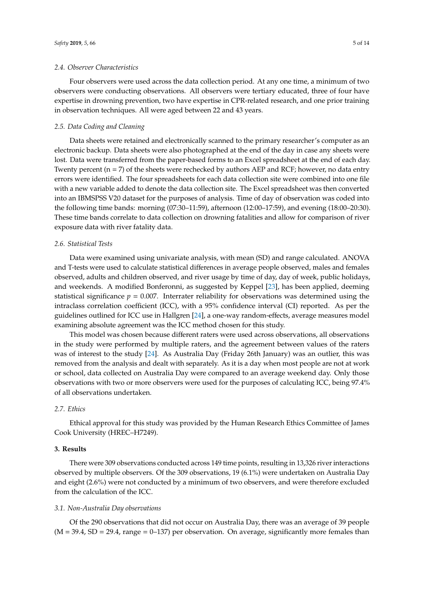### *2.4. Observer Characteristics*

Four observers were used across the data collection period. At any one time, a minimum of two observers were conducting observations. All observers were tertiary educated, three of four have expertise in drowning prevention, two have expertise in CPR-related research, and one prior training in observation techniques. All were aged between 22 and 43 years.

# *2.5. Data Coding and Cleaning*

Data sheets were retained and electronically scanned to the primary researcher's computer as an electronic backup. Data sheets were also photographed at the end of the day in case any sheets were lost. Data were transferred from the paper-based forms to an Excel spreadsheet at the end of each day. Twenty percent ( $n = 7$ ) of the sheets were rechecked by authors AEP and RCF; however, no data entry errors were identified. The four spreadsheets for each data collection site were combined into one file with a new variable added to denote the data collection site. The Excel spreadsheet was then converted into an IBMSPSS V20 dataset for the purposes of analysis. Time of day of observation was coded into the following time bands: morning (07:30–11:59), afternoon (12:00–17:59), and evening (18:00–20:30). These time bands correlate to data collection on drowning fatalities and allow for comparison of river exposure data with river fatality data.

# *2.6. Statistical Tests*

Data were examined using univariate analysis, with mean (SD) and range calculated. ANOVA and T-tests were used to calculate statistical differences in average people observed, males and females observed, adults and children observed, and river usage by time of day, day of week, public holidays, and weekends. A modified Bonferonni, as suggested by Keppel [\[23\]](#page-13-2), has been applied, deeming statistical significance  $p = 0.007$ . Interrater reliability for observations was determined using the intraclass correlation coefficient (ICC), with a 95% confidence interval (CI) reported. As per the guidelines outlined for ICC use in Hallgren [\[24\]](#page-13-3), a one-way random-effects, average measures model examining absolute agreement was the ICC method chosen for this study.

This model was chosen because different raters were used across observations, all observations in the study were performed by multiple raters, and the agreement between values of the raters was of interest to the study [\[24\]](#page-13-3). As Australia Day (Friday 26th January) was an outlier, this was removed from the analysis and dealt with separately. As it is a day when most people are not at work or school, data collected on Australia Day were compared to an average weekend day. Only those observations with two or more observers were used for the purposes of calculating ICC, being 97.4% of all observations undertaken.

# *2.7. Ethics*

Ethical approval for this study was provided by the Human Research Ethics Committee of James Cook University (HREC–H7249).

# **3. Results**

There were 309 observations conducted across 149 time points, resulting in 13,326 river interactions observed by multiple observers. Of the 309 observations, 19 (6.1%) were undertaken on Australia Day and eight (2.6%) were not conducted by a minimum of two observers, and were therefore excluded from the calculation of the ICC.

### *3.1. Non-Australia Day observations*

Of the 290 observations that did not occur on Australia Day, there was an average of 39 people  $(M = 39.4, SD = 29.4, range = 0-137)$  per observation. On average, significantly more females than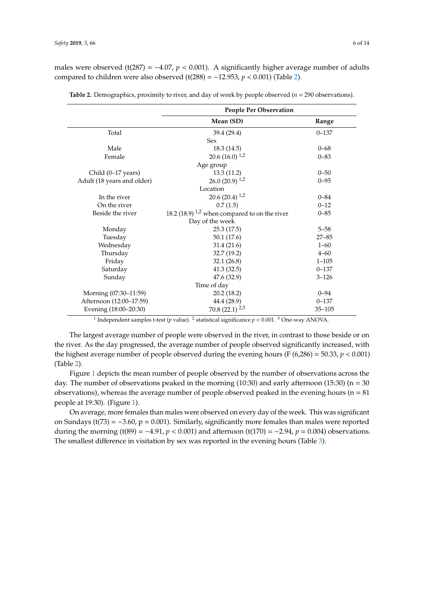males were observed (t(287) =  $-4.07$ ,  $p < 0.001$ ). A significantly higher average number of adults compared to children were also observed  $(t(288) = -12.953, p < 0.001)$  (Table [2\)](#page-5-0).

|                            | <b>People Per Observation</b>                      |            |  |  |
|----------------------------|----------------------------------------------------|------------|--|--|
|                            | Mean (SD)                                          | Range      |  |  |
| Total                      | 39.4 (29.4)                                        | $0 - 137$  |  |  |
|                            | <b>Sex</b>                                         |            |  |  |
| Male                       | 18.3 (14.5)                                        | $0 - 68$   |  |  |
| Female                     | 20.6 $(16.0)$ <sup>1,2</sup>                       | $0 - 83$   |  |  |
|                            | Age group                                          |            |  |  |
| Child (0-17 years)         | 13.3(11.2)                                         | $0 - 50$   |  |  |
| Adult (18 years and older) | $26.0(20.9)^{1,2}$                                 | $0 - 95$   |  |  |
|                            | Location                                           |            |  |  |
| In the river               | 20.6 (20.4) $^{1,2}$                               | $0 - 84$   |  |  |
| On the river               | 0.7(1.5)                                           | $0 - 12$   |  |  |
| Beside the river           | 18.2 (18.9) $^{1,2}$ when compared to on the river | $0 - 85$   |  |  |
|                            | Day of the week                                    |            |  |  |
| Monday                     | 25.3(17.5)                                         | $5 - 58$   |  |  |
| Tuesday                    | 50.1 (17.6)                                        | $27 - 85$  |  |  |
| Wednesday                  | 31.4(21.6)                                         | $1 - 60$   |  |  |
| Thursday                   | 32.7 (19.2)                                        | $4 - 60$   |  |  |
| Friday                     | 32.1(26.8)                                         | $1 - 105$  |  |  |
| Saturday                   | 41.3(32.5)                                         | $0 - 137$  |  |  |
| Sunday                     | 47.6 (32.9)                                        | $3 - 126$  |  |  |
|                            | Time of day                                        |            |  |  |
| Morning (07:30-11:59)      | 20.2(18.2)                                         | $0 - 94$   |  |  |
| Afternoon (12:00-17:59)    | 44.4 (28.9)                                        | $0 - 137$  |  |  |
| Evening (18:00-20:30)      | 70.8 (22.1) $2.3$<br>$\sim$<br>$\sim$              | $35 - 105$ |  |  |

<span id="page-5-0"></span>**Table 2.** Demographics, proximity to river, and day of week by people observed (*n* = 290 observations).

 $^1$  Independent samples t-test ( $p$  value).  $^2$  statistical significance  $p < 0.001$ .  $^3$  One-way ANOVA.

The largest average number of people were observed in the river, in contrast to those beside or on the river. As the day progressed, the average number of people observed significantly increased, with the highest average number of people observed during the evening hours (F  $(6,286) = 50.33$ ,  $p < 0.001$ ) (Table [2\)](#page-5-0).

Figure [1](#page-6-0) depicts the mean number of people observed by the number of observations across the day. The number of observations peaked in the morning (10:30) and early afternoon (15:30) ( $n = 30$ ) observations), whereas the average number of people observed peaked in the evening hours ( $n = 81$ ) people at 19:30). (Figure [1\)](#page-6-0).

On average, more females than males were observed on every day of the week. This was significant on Sundays (t(73) = −3.60, p = 0.001). Similarly, significantly more females than males were reported during the morning (t(89) =  $-4.91$ ,  $p < 0.001$ ) and afternoon (t(170) =  $-2.94$ ,  $p = 0.004$ ) observations. The smallest difference in visitation by sex was reported in the evening hours (Table [3\)](#page-6-1).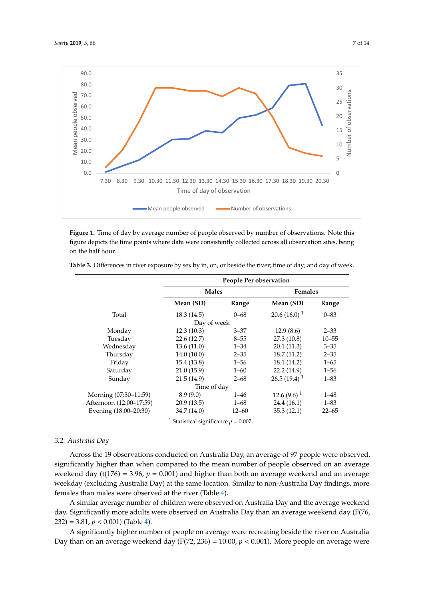<span id="page-6-0"></span>

**Figure 1.** Time of day by average number of people observed by number of observations. Note this **Figure 1.** Time of day by average number of people observed by number of observations. Note this figure depicts the time points where data were consistently collected across all observation sites, being figure depicts the time points where data were consistently collected across all observation sites, being on the half hour. on the half hour.

|                         | People Per observation |           |                           |           |
|-------------------------|------------------------|-----------|---------------------------|-----------|
|                         | <b>Males</b>           |           | <b>Females</b>            |           |
|                         | Mean (SD)<br>Range     |           | Mean (SD)<br>Range        |           |
| Total                   | 18.3 (14.5)            | $0 - 68$  | $20.6(16.0)^{1}$          | $0 - 83$  |
|                         | Day of week            |           |                           |           |
| Monday                  | 12.3(10.3)             | $3 - 37$  | 12.9(8.6)                 | $2 - 33$  |
| Tuesday                 | 22.6(12.7)             | $8 - 55$  | 27.3(10.8)                | $10 - 55$ |
| Wednesday               | 13.6(11.0)             | $1 - 34$  | 20.1(11.3)                | $3 - 35$  |
| Thursday                | 14.0(10.0)             | $2 - 35$  | 18.7(11.2)                | $2 - 35$  |
| Friday                  | 15.4 (13.8)            | $1 - 56$  | 18.1 (14.2)               | $1 - 65$  |
| Saturday                | 21.0(15.9)             | $1 - 60$  | 22.2(14.9)                | $1 - 56$  |
| Sunday                  | 21.5(14.9)             | $2 - 68$  | $26.5(19.4)^1$            | $1 - 83$  |
|                         | Time of day            |           |                           |           |
| Morning (07:30–11:59)   | 8.9(9.0)               | $1 - 46$  | 12.6 $(9.6)$ <sup>1</sup> | $1 - 48$  |
| Afternoon (12:00-17:59) | 20.9(13.5)             | $1 - 68$  | 24.4 (16.1)               | $1 - 83$  |
| Evening (18:00-20:30)   | 34.7 (14.0)            | $12 - 60$ | 35.3(12.1)                | $22 - 65$ |

<span id="page-6-1"></span>Table 3. Differences in river exposure by sex by in, on, or beside the river; time of day; and day of week.

<sup>1</sup> Statistical significance  $p = 0.007$ .

#### $Say$ *3.2. Australia Day*

Across the 19 observations conducted on Australia Day, an average of 97 people were observed, Frances are 19 6666 random conducted on Frashami Bay, an average of 97 people were 6666 read-<br>significantly higher than when compared to the mean number of people observed on an average After the when computed to the mean humber of people observed on an weekend day  $(t(176) = 3.96, p = 0.001)$  and higher than both an average weekend and an average weekday (excluding Australia Day) at the same location. Similar to non-Australia Day findings, more females than males were observed at the river (Table [4\)](#page-7-0).

*3.2. Australia Day* A similar average number of children were observed on Australia Day and the average weekend day. Significantly more adults were observed on Australia Day than an average weekend day (F(76,<br>222) 02.3.1. st 0.001) (Table 4) significantly higher than  $\frac{1}{2}$  is that mean number of people observed on an average of people of people on an average on an average of people of people of people of people of people of people of people of people on a  $232$ ) = 3.81,  $p < 0.001$ ) (Table [4\)](#page-7-0).

A significantly higher number of people on average were recreating beside the river on Australia<br>
A significantly higher number of people on average were recreating beside the river on Australia Day than on an average weekend day ( $F(72, 236) = 10.00$ ,  $p < 0.001$ ). More people on average were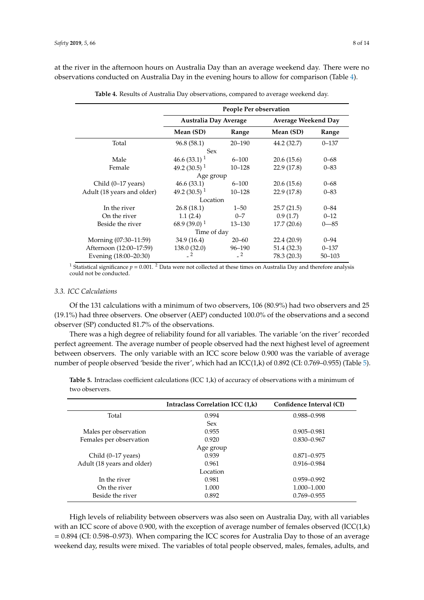<span id="page-7-0"></span>at the river in the afternoon hours on Australia Day than an average weekend day. There were no observations conducted on Australia Day in the evening hours to allow for comparison (Table [4\)](#page-7-0).

|                            | People Per observation     |            |                            |            |  |
|----------------------------|----------------------------|------------|----------------------------|------------|--|
|                            | Australia Day Average      |            | <b>Average Weekend Day</b> |            |  |
|                            | Mean (SD)                  | Range      | Mean (SD)                  | Range      |  |
| Total                      | 96.8(58.1)                 | $20 - 190$ | 44.2 (32.7)                | $0 - 137$  |  |
|                            | <b>Sex</b>                 |            |                            |            |  |
| Male                       | 46.6 $(33.1)$ <sup>1</sup> | $6 - 100$  | 20.6(15.6)                 | $0 - 68$   |  |
| Female                     | 49.2 (30.5) <sup>1</sup>   | $10 - 128$ | 22.9 (17.8)                | $0 - 83$   |  |
|                            | Age group                  |            |                            |            |  |
| Child (0–17 years)         | 46.6(33.1)                 | $6 - 100$  | 20.6(15.6)                 | $0 - 68$   |  |
| Adult (18 years and older) | 49.2 (30.5) <sup>1</sup>   | $10 - 128$ | 22.9 (17.8)                | $0 - 83$   |  |
|                            | Location                   |            |                            |            |  |
| In the river               | 26.8(18.1)                 | $1 - 50$   | 25.7(21.5)                 | $0 - 84$   |  |
| On the river               | 1.1(2.4)                   | $0 - 7$    | 0.9(1.7)                   | $0 - 12$   |  |
| Beside the river           | 68.9 (39.0) $^1$           | $13 - 130$ | 17.7(20.6)                 | $0 - 85$   |  |
|                            | Time of day                |            |                            |            |  |
| Morning (07:30–11:59)      | 34.9 (16.4)                | $20 - 60$  | 22.4 (20.9)                | $0 - 94$   |  |
| Afternoon (12:00–17:59)    | 138.0 (32.0)               | 96-190     | 51.4 (32.3)                | $0 - 137$  |  |
| Evening (18:00-20:30)      | $\overline{2}$             | $-2$       | 78.3 (20.3)                | $50 - 103$ |  |

| Table 4. Results of Australia Day observations, compared to average weekend day. |  |  |  |
|----------------------------------------------------------------------------------|--|--|--|
|----------------------------------------------------------------------------------|--|--|--|

<sup>1</sup> Statistical significance  $p = 0.001$ . <sup>2</sup> Data were not collected at these times on Australia Day and therefore analysis could not be conducted.

# *3.3. ICC Calculations*

Of the 131 calculations with a minimum of two observers, 106 (80.9%) had two observers and 25 (19.1%) had three observers. One observer (AEP) conducted 100.0% of the observations and a second observer (SP) conducted 81.7% of the observations.

There was a high degree of reliability found for all variables. The variable 'on the river' recorded perfect agreement. The average number of people observed had the next highest level of agreement between observers. The only variable with an ICC score below 0.900 was the variable of average number of people observed 'beside the river', which had an ICC(1,k) of 0.892 (CI: 0.769–0.955) (Table [5\)](#page-7-1).

<span id="page-7-1"></span>

|                |  |  |  | <b>Table 5.</b> Intraclass coefficient calculations (ICC 1,k) of accuracy of observations with a minimum of |  |  |
|----------------|--|--|--|-------------------------------------------------------------------------------------------------------------|--|--|
| two observers. |  |  |  |                                                                                                             |  |  |

|                            | Intraclass Correlation ICC (1,k) | Confidence Interval (CI) |
|----------------------------|----------------------------------|--------------------------|
| Total                      | 0.994                            | $0.988 - 0.998$          |
|                            | Sex                              |                          |
| Males per observation      | 0.955                            | $0.905 - 0.981$          |
| Females per observation    | 0.920                            | $0.830 - 0.967$          |
|                            | Age group                        |                          |
| Child (0–17 years)         | 0.939                            | $0.871 - 0.975$          |
| Adult (18 years and older) | 0.961                            | $0.916 - 0.984$          |
|                            | Location                         |                          |
| In the river               | 0.981                            | $0.959 - 0.992$          |
| On the river               | 1.000                            | 1.000-1.000              |
| Beside the river           | 0.892                            | $0.769 - 0.955$          |

High levels of reliability between observers was also seen on Australia Day, with all variables with an ICC score of above 0.900, with the exception of average number of females observed  $(ICC(1,k))$ = 0.894 (CI: 0.598–0.973). When comparing the ICC scores for Australia Day to those of an average weekend day, results were mixed. The variables of total people observed, males, females, adults, and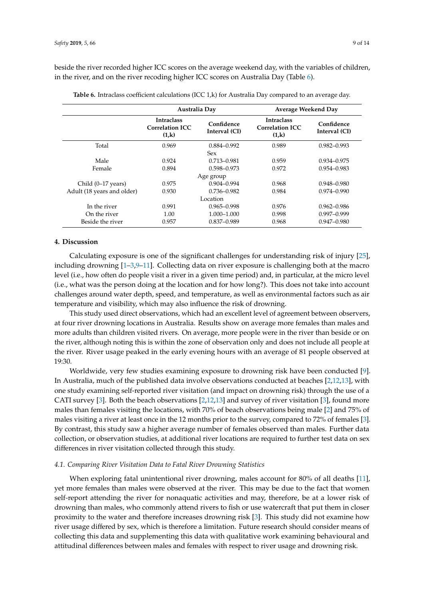beside the river recorded higher ICC scores on the average weekend day, with the variables of children, in the river, and on the river recoding higher ICC scores on Australia Day (Table [6\)](#page-8-0).

|                            | Australia Day                                        |                             | Average Weekend Day                                  |                             |
|----------------------------|------------------------------------------------------|-----------------------------|------------------------------------------------------|-----------------------------|
|                            | <b>Intraclass</b><br><b>Correlation ICC</b><br>(1,k) | Confidence<br>Interval (CI) | <b>Intraclass</b><br><b>Correlation ICC</b><br>(1,k) | Confidence<br>Interval (CI) |
| Total                      | 0.969                                                | $0.884 - 0.992$             | 0.989                                                | $0.982 - 0.993$             |
|                            |                                                      | <b>Sex</b>                  |                                                      |                             |
| Male                       | 0.924                                                | $0.713 - 0.981$             | 0.959                                                | 0.934-0.975                 |
| Female                     | 0.894                                                | $0.598 - 0.973$             | 0.972                                                | $0.954 - 0.983$             |
|                            |                                                      | Age group                   |                                                      |                             |
| Child (0–17 years)         | 0.975                                                | $0.904 - 0.994$             | 0.968                                                | $0.948 - 0.980$             |
| Adult (18 years and older) | 0.930                                                | $0.736 - 0.982$             | 0.984                                                | $0.974 - 0.990$             |
|                            |                                                      | Location                    |                                                      |                             |
| In the river               | 0.991                                                | $0.965 - 0.998$             | 0.976                                                | $0.962 - 0.986$             |
| On the river               | 1.00                                                 | 1.000-1.000                 | 0.998                                                | $0.997 - 0.999$             |
| Beside the river           | 0.957                                                | $0.837 - 0.989$             | 0.968                                                | $0.947 - 0.980$             |

<span id="page-8-0"></span>**Table 6.** Intraclass coefficient calculations (ICC 1,k) for Australia Day compared to an average day.

# **4. Discussion**

Calculating exposure is one of the significant challenges for understanding risk of injury [\[25\]](#page-13-4), including drowning  $[1-3,9-11]$  $[1-3,9-11]$  $[1-3,9-11]$ . Collecting data on river exposure is challenging both at the macro level (i.e., how often do people visit a river in a given time period) and, in particular, at the micro level (i.e., what was the person doing at the location and for how long?). This does not take into account challenges around water depth, speed, and temperature, as well as environmental factors such as air temperature and visibility, which may also influence the risk of drowning.

This study used direct observations, which had an excellent level of agreement between observers, at four river drowning locations in Australia. Results show on average more females than males and more adults than children visited rivers. On average, more people were in the river than beside or on the river, although noting this is within the zone of observation only and does not include all people at the river. River usage peaked in the early evening hours with an average of 81 people observed at 19:30.

Worldwide, very few studies examining exposure to drowning risk have been conducted [\[9\]](#page-12-7). In Australia, much of the published data involve observations conducted at beaches [\[2,](#page-12-9)[12,](#page-12-10)[13\]](#page-12-11), with one study examining self-reported river visitation (and impact on drowning risk) through the use of a CATI survey [\[3\]](#page-12-1). Both the beach observations [\[2](#page-12-9)[,12](#page-12-10)[,13\]](#page-12-11) and survey of river visitation [\[3\]](#page-12-1), found more males than females visiting the locations, with 70% of beach observations being male [\[2\]](#page-12-9) and 75% of males visiting a river at least once in the 12 months prior to the survey, compared to 72% of females [\[3\]](#page-12-1). By contrast, this study saw a higher average number of females observed than males. Further data collection, or observation studies, at additional river locations are required to further test data on sex differences in river visitation collected through this study.

# *4.1. Comparing River Visitation Data to Fatal River Drowning Statistics*

When exploring fatal unintentional river drowning, males account for 80% of all deaths [\[11\]](#page-12-8), yet more females than males were observed at the river. This may be due to the fact that women self-report attending the river for nonaquatic activities and may, therefore, be at a lower risk of drowning than males, who commonly attend rivers to fish or use watercraft that put them in closer proximity to the water and therefore increases drowning risk [\[3\]](#page-12-1). This study did not examine how river usage differed by sex, which is therefore a limitation. Future research should consider means of collecting this data and supplementing this data with qualitative work examining behavioural and attitudinal differences between males and females with respect to river usage and drowning risk.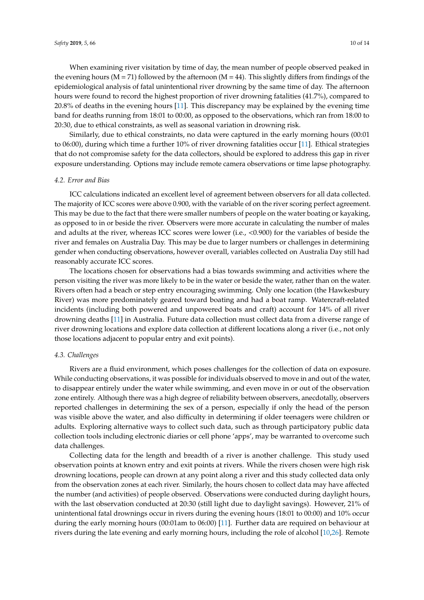When examining river visitation by time of day, the mean number of people observed peaked in the evening hours (M = 71) followed by the afternoon (M = 44). This slightly differs from findings of the epidemiological analysis of fatal unintentional river drowning by the same time of day. The afternoon hours were found to record the highest proportion of river drowning fatalities (41.7%), compared to 20.8% of deaths in the evening hours [\[11\]](#page-12-8). This discrepancy may be explained by the evening time band for deaths running from 18:01 to 00:00, as opposed to the observations, which ran from 18:00 to 20:30, due to ethical constraints, as well as seasonal variation in drowning risk.

Similarly, due to ethical constraints, no data were captured in the early morning hours (00:01 to 06:00), during which time a further 10% of river drowning fatalities occur [\[11\]](#page-12-8). Ethical strategies that do not compromise safety for the data collectors, should be explored to address this gap in river exposure understanding. Options may include remote camera observations or time lapse photography.

# *4.2. Error and Bias*

ICC calculations indicated an excellent level of agreement between observers for all data collected. The majority of ICC scores were above 0.900, with the variable of on the river scoring perfect agreement. This may be due to the fact that there were smaller numbers of people on the water boating or kayaking, as opposed to in or beside the river. Observers were more accurate in calculating the number of males and adults at the river, whereas ICC scores were lower (i.e., <0.900) for the variables of beside the river and females on Australia Day. This may be due to larger numbers or challenges in determining gender when conducting observations, however overall, variables collected on Australia Day still had reasonably accurate ICC scores.

The locations chosen for observations had a bias towards swimming and activities where the person visiting the river was more likely to be in the water or beside the water, rather than on the water. Rivers often had a beach or step entry encouraging swimming. Only one location (the Hawkesbury River) was more predominately geared toward boating and had a boat ramp. Watercraft-related incidents (including both powered and unpowered boats and craft) account for 14% of all river drowning deaths [\[11\]](#page-12-8) in Australia. Future data collection must collect data from a diverse range of river drowning locations and explore data collection at different locations along a river (i.e., not only those locations adjacent to popular entry and exit points).

# *4.3. Challenges*

Rivers are a fluid environment, which poses challenges for the collection of data on exposure. While conducting observations, it was possible for individuals observed to move in and out of the water, to disappear entirely under the water while swimming, and even move in or out of the observation zone entirely. Although there was a high degree of reliability between observers, anecdotally, observers reported challenges in determining the sex of a person, especially if only the head of the person was visible above the water, and also difficulty in determining if older teenagers were children or adults. Exploring alternative ways to collect such data, such as through participatory public data collection tools including electronic diaries or cell phone 'apps', may be warranted to overcome such data challenges.

Collecting data for the length and breadth of a river is another challenge. This study used observation points at known entry and exit points at rivers. While the rivers chosen were high risk drowning locations, people can drown at any point along a river and this study collected data only from the observation zones at each river. Similarly, the hours chosen to collect data may have affected the number (and activities) of people observed. Observations were conducted during daylight hours, with the last observation conducted at 20:30 (still light due to daylight savings). However, 21% of unintentional fatal drownings occur in rivers during the evening hours (18:01 to 00:00) and 10% occur during the early morning hours (00:01am to 06:00) [\[11\]](#page-12-8). Further data are required on behaviour at rivers during the late evening and early morning hours, including the role of alcohol [\[10](#page-12-16)[,26\]](#page-13-5). Remote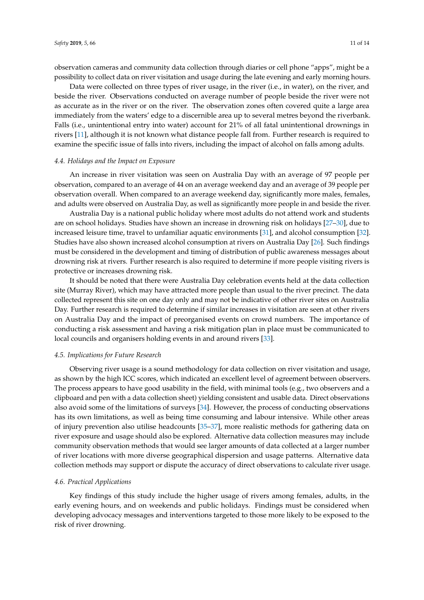observation cameras and community data collection through diaries or cell phone "apps", might be a possibility to collect data on river visitation and usage during the late evening and early morning hours.

Data were collected on three types of river usage, in the river (i.e., in water), on the river, and beside the river. Observations conducted on average number of people beside the river were not as accurate as in the river or on the river. The observation zones often covered quite a large area immediately from the waters' edge to a discernible area up to several metres beyond the riverbank. Falls (i.e., unintentional entry into water) account for 21% of all fatal unintentional drownings in rivers [\[11\]](#page-12-8), although it is not known what distance people fall from. Further research is required to examine the specific issue of falls into rivers, including the impact of alcohol on falls among adults.

### *4.4. Holidays and the Impact on Exposure*

An increase in river visitation was seen on Australia Day with an average of 97 people per observation, compared to an average of 44 on an average weekend day and an average of 39 people per observation overall. When compared to an average weekend day, significantly more males, females, and adults were observed on Australia Day, as well as significantly more people in and beside the river.

Australia Day is a national public holiday where most adults do not attend work and students are on school holidays. Studies have shown an increase in drowning risk on holidays [\[27](#page-13-6)[–30\]](#page-13-7), due to increased leisure time, travel to unfamiliar aquatic environments [\[31\]](#page-13-8), and alcohol consumption [\[32\]](#page-13-9). Studies have also shown increased alcohol consumption at rivers on Australia Day [\[26\]](#page-13-5). Such findings must be considered in the development and timing of distribution of public awareness messages about drowning risk at rivers. Further research is also required to determine if more people visiting rivers is protective or increases drowning risk.

It should be noted that there were Australia Day celebration events held at the data collection site (Murray River), which may have attracted more people than usual to the river precinct. The data collected represent this site on one day only and may not be indicative of other river sites on Australia Day. Further research is required to determine if similar increases in visitation are seen at other rivers on Australia Day and the impact of preorganised events on crowd numbers. The importance of conducting a risk assessment and having a risk mitigation plan in place must be communicated to local councils and organisers holding events in and around rivers [\[33\]](#page-13-10).

### *4.5. Implications for Future Research*

Observing river usage is a sound methodology for data collection on river visitation and usage, as shown by the high ICC scores, which indicated an excellent level of agreement between observers. The process appears to have good usability in the field, with minimal tools (e.g., two observers and a clipboard and pen with a data collection sheet) yielding consistent and usable data. Direct observations also avoid some of the limitations of surveys [\[34\]](#page-13-11). However, the process of conducting observations has its own limitations, as well as being time consuming and labour intensive. While other areas of injury prevention also utilise headcounts [\[35](#page-13-12)[–37\]](#page-13-13), more realistic methods for gathering data on river exposure and usage should also be explored. Alternative data collection measures may include community observation methods that would see larger amounts of data collected at a larger number of river locations with more diverse geographical dispersion and usage patterns. Alternative data collection methods may support or dispute the accuracy of direct observations to calculate river usage.

# *4.6. Practical Applications*

Key findings of this study include the higher usage of rivers among females, adults, in the early evening hours, and on weekends and public holidays. Findings must be considered when developing advocacy messages and interventions targeted to those more likely to be exposed to the risk of river drowning.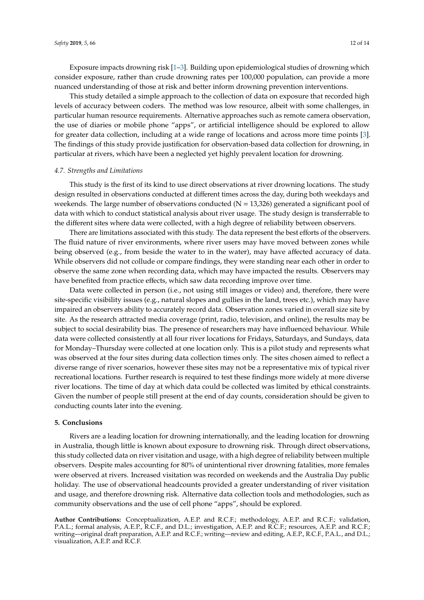Exposure impacts drowning risk [\[1](#page-12-0)[–3\]](#page-12-1). Building upon epidemiological studies of drowning which consider exposure, rather than crude drowning rates per 100,000 population, can provide a more nuanced understanding of those at risk and better inform drowning prevention interventions.

This study detailed a simple approach to the collection of data on exposure that recorded high levels of accuracy between coders. The method was low resource, albeit with some challenges, in particular human resource requirements. Alternative approaches such as remote camera observation, the use of diaries or mobile phone "apps", or artificial intelligence should be explored to allow for greater data collection, including at a wide range of locations and across more time points [\[3\]](#page-12-1). The findings of this study provide justification for observation-based data collection for drowning, in particular at rivers, which have been a neglected yet highly prevalent location for drowning.

### *4.7. Strengths and Limitations*

This study is the first of its kind to use direct observations at river drowning locations. The study design resulted in observations conducted at different times across the day, during both weekdays and weekends. The large number of observations conducted ( $N = 13,326$ ) generated a significant pool of data with which to conduct statistical analysis about river usage. The study design is transferrable to the different sites where data were collected, with a high degree of reliability between observers.

There are limitations associated with this study. The data represent the best efforts of the observers. The fluid nature of river environments, where river users may have moved between zones while being observed (e.g., from beside the water to in the water), may have affected accuracy of data. While observers did not collude or compare findings, they were standing near each other in order to observe the same zone when recording data, which may have impacted the results. Observers may have benefited from practice effects, which saw data recording improve over time.

Data were collected in person (i.e., not using still images or video) and, therefore, there were site-specific visibility issues (e.g., natural slopes and gullies in the land, trees etc.), which may have impaired an observers ability to accurately record data. Observation zones varied in overall size site by site. As the research attracted media coverage (print, radio, television, and online), the results may be subject to social desirability bias. The presence of researchers may have influenced behaviour. While data were collected consistently at all four river locations for Fridays, Saturdays, and Sundays, data for Monday–Thursday were collected at one location only. This is a pilot study and represents what was observed at the four sites during data collection times only. The sites chosen aimed to reflect a diverse range of river scenarios, however these sites may not be a representative mix of typical river recreational locations. Further research is required to test these findings more widely at more diverse river locations. The time of day at which data could be collected was limited by ethical constraints. Given the number of people still present at the end of day counts, consideration should be given to conducting counts later into the evening.

# **5. Conclusions**

Rivers are a leading location for drowning internationally, and the leading location for drowning in Australia, though little is known about exposure to drowning risk. Through direct observations, this study collected data on river visitation and usage, with a high degree of reliability between multiple observers. Despite males accounting for 80% of unintentional river drowning fatalities, more females were observed at rivers. Increased visitation was recorded on weekends and the Australia Day public holiday. The use of observational headcounts provided a greater understanding of river visitation and usage, and therefore drowning risk. Alternative data collection tools and methodologies, such as community observations and the use of cell phone "apps", should be explored.

**Author Contributions:** Conceptualization, A.E.P. and R.C.F.; methodology, A.E.P. and R.C.F.; validation, P.A.L.; formal analysis, A.E.P., R.C.F., and D.L.; investigation, A.E.P. and R.C.F.; resources, A.E.P. and R.C.F.; writing—original draft preparation, A.E.P. and R.C.F.; writing—review and editing, A.E.P., R.C.F., P.A.L., and D.L.; visualization, A.E.P. and R.C.F.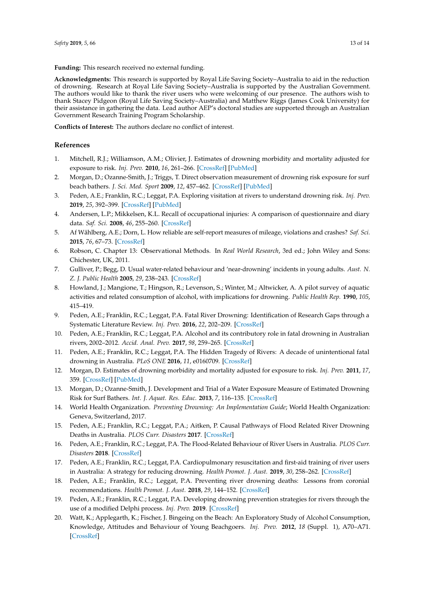**Funding:** This research received no external funding.

**Acknowledgments:** This research is supported by Royal Life Saving Society–Australia to aid in the reduction of drowning. Research at Royal Life Saving Society–Australia is supported by the Australian Government. The authors would like to thank the river users who were welcoming of our presence. The authors wish to thank Stacey Pidgeon (Royal Life Saving Society–Australia) and Matthew Riggs (James Cook University) for their assistance in gathering the data. Lead author AEP's doctoral studies are supported through an Australian Government Research Training Program Scholarship.

**Conflicts of Interest:** The authors declare no conflict of interest.

# **References**

- <span id="page-12-0"></span>1. Mitchell, R.J.; Williamson, A.M.; Olivier, J. Estimates of drowning morbidity and mortality adjusted for exposure to risk. *Inj. Prev.* **2010**, *16*, 261–266. [\[CrossRef\]](http://dx.doi.org/10.1136/ip.2009.024307) [\[PubMed\]](http://www.ncbi.nlm.nih.gov/pubmed/20696716)
- <span id="page-12-9"></span>2. Morgan, D.; Ozanne-Smith, J.; Triggs, T. Direct observation measurement of drowning risk exposure for surf beach bathers. *J. Sci. Med. Sport* **2009**, *12*, 457–462. [\[CrossRef\]](http://dx.doi.org/10.1016/j.jsams.2008.04.003) [\[PubMed\]](http://www.ncbi.nlm.nih.gov/pubmed/18768365)
- <span id="page-12-1"></span>3. Peden, A.E.; Franklin, R.C.; Leggat, P.A. Exploring visitation at rivers to understand drowning risk. *Inj. Prev.* **2019**, *25*, 392–399. [\[CrossRef\]](http://dx.doi.org/10.1136/injuryprev-2018-042819) [\[PubMed\]](http://www.ncbi.nlm.nih.gov/pubmed/29875291)
- <span id="page-12-2"></span>4. Andersen, L.P.; Mikkelsen, K.L. Recall of occupational injuries: A comparison of questionnaire and diary data. *Saf. Sci.* **2008**, *46*, 255–260. [\[CrossRef\]](http://dx.doi.org/10.1016/j.ssci.2007.06.014)
- <span id="page-12-3"></span>5. Af Wåhlberg, A.E.; Dorn, L. How reliable are self-report measures of mileage, violations and crashes? *Saf. Sci.* **2015**, *76*, 67–73. [\[CrossRef\]](http://dx.doi.org/10.1016/j.ssci.2015.02.020)
- <span id="page-12-4"></span>6. Robson, C. Chapter 13: Observational Methods. In *Real World Research*, 3rd ed.; John Wiley and Sons: Chichester, UK, 2011.
- <span id="page-12-5"></span>7. Gulliver, P.; Begg, D. Usual water-related behaviour and 'near-drowning' incidents in young adults. *Aust. N. Z. J. Public Health* **2005**, *29*, 238–243. [\[CrossRef\]](http://dx.doi.org/10.1111/j.1467-842X.2005.tb00761.x)
- <span id="page-12-6"></span>8. Howland, J.; Mangione, T.; Hingson, R.; Levenson, S.; Winter, M.; Altwicker, A. A pilot survey of aquatic activities and related consumption of alcohol, with implications for drowning. *Public Health Rep.* **1990**, *105*, 415–419.
- <span id="page-12-7"></span>9. Peden, A.E.; Franklin, R.C.; Leggat, P.A. Fatal River Drowning: Identification of Research Gaps through a Systematic Literature Review. *Inj. Prev.* **2016**, *22*, 202–209. [\[CrossRef\]](http://dx.doi.org/10.1136/injuryprev-2015-041750)
- <span id="page-12-16"></span>10. Peden, A.E.; Franklin, R.C.; Leggat, P.A. Alcohol and its contributory role in fatal drowning in Australian rivers, 2002–2012. *Accid. Anal. Prev.* **2017**, *98*, 259–265. [\[CrossRef\]](http://dx.doi.org/10.1016/j.aap.2016.10.009)
- <span id="page-12-8"></span>11. Peden, A.E.; Franklin, R.C.; Leggat, P.A. The Hidden Tragedy of Rivers: A decade of unintentional fatal drowning in Australia. *PLoS ONE* **2016**, *11*, e0160709. [\[CrossRef\]](http://dx.doi.org/10.1371/journal.pone.0160709)
- <span id="page-12-10"></span>12. Morgan, D. Estimates of drowning morbidity and mortality adjusted for exposure to risk. *Inj. Prev.* **2011**, *17*, 359. [\[CrossRef\]](http://dx.doi.org/10.1136/injuryprev-2011-040130) [\[PubMed\]](http://www.ncbi.nlm.nih.gov/pubmed/21768613)
- <span id="page-12-11"></span>13. Morgan, D.; Ozanne-Smith, J. Development and Trial of a Water Exposure Measure of Estimated Drowning Risk for Surf Bathers. *Int. J. Aquat. Res. Educ.* **2013**, *7*, 116–135. [\[CrossRef\]](http://dx.doi.org/10.25035/ijare.07.02.04)
- <span id="page-12-12"></span>14. World Health Organization. *Preventing Drowning: An Implementation Guide*; World Health Organization: Geneva, Switzerland, 2017.
- <span id="page-12-13"></span>15. Peden, A.E.; Franklin, R.C.; Leggat, P.A.; Aitken, P. Causal Pathways of Flood Related River Drowning Deaths in Australia. *PLOS Curr. Disasters* **2017**. [\[CrossRef\]](http://dx.doi.org/10.1371/currents.dis.001072490b201118f0f689c0fbe7d437)
- 16. Peden, A.E.; Franklin, R.C.; Leggat, P.A. The Flood-Related Behaviour of River Users in Australia. *PLOS Curr. Disasters* **2018**. [\[CrossRef\]](http://dx.doi.org/10.1371/currents.dis.89e243413a0625941387c8b9637e291b)
- 17. Peden, A.E.; Franklin, R.C.; Leggat, P.A. Cardiopulmonary resuscitation and first-aid training of river users in Australia: A strategy for reducing drowning. *Health Promot. J. Aust.* **2019**, *30*, 258–262. [\[CrossRef\]](http://dx.doi.org/10.1002/hpja.195)
- 18. Peden, A.E.; Franklin, R.C.; Leggat, P.A. Preventing river drowning deaths: Lessons from coronial recommendations. *Health Promot. J. Aust.* **2018**, *29*, 144–152. [\[CrossRef\]](http://dx.doi.org/10.1002/hpja.24)
- <span id="page-12-14"></span>19. Peden, A.E.; Franklin, R.C.; Leggat, P.A. Developing drowning prevention strategies for rivers through the use of a modified Delphi process. *Inj. Prev.* **2019**. [\[CrossRef\]](http://dx.doi.org/10.1136/injuryprev-2019-043156)
- <span id="page-12-15"></span>20. Watt, K.; Applegarth, K.; Fischer, J. Bingeing on the Beach: An Exploratory Study of Alcohol Consumption, Knowledge, Attitudes and Behaviour of Young Beachgoers. *Inj. Prev.* **2012**, *18* (Suppl. 1), A70–A71. [\[CrossRef\]](http://dx.doi.org/10.1136/injuryprev-2012-040580f.30)